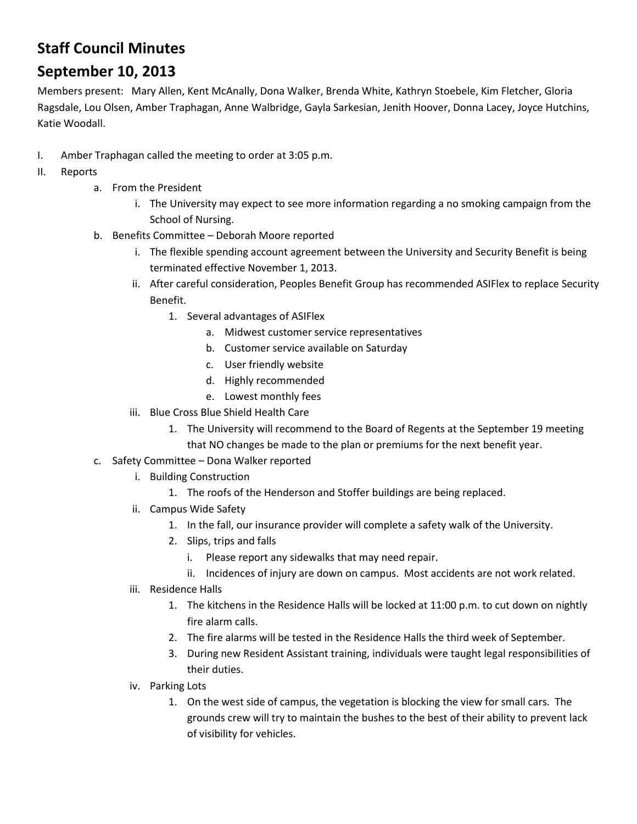## **Staff Council Minutes**

## **September 10, 2013**

Members present: Mary Allen, Kent McAnally, Dona Walker, Brenda White, Kathryn Stoebele, Kim Fletcher, Gloria Ragsdale, Lou Olsen, Amber Traphagan, Anne Walbridge, Gayla Sarkesian, Jenith Hoover, Donna Lacey, Joyce Hutchins, Katie Woodall.

- I. Amber Traphagan called the meeting to order at 3:05 p.m.
- II. Reports
	- a. From the President
		- i. The University may expect to see more information regarding a no smoking campaign from the School of Nursing.
	- b. Benefits Committee Deborah Moore reported
		- i. The flexible spending account agreement between the University and Security Benefit is being terminated effective November 1, 2013.
		- ii. After careful consideration, Peoples Benefit Group has recommended ASIFlex to replace Security Benefit.
			- 1. Several advantages of ASIFlex
				- a. Midwest customer service representatives
				- b. Customer service available on Saturday
				- c. User friendly website
				- d. Highly recommended
				- e. Lowest monthly fees
		- iii. Blue Cross Blue Shield Health Care
			- 1. The University will recommend to the Board of Regents at the September 19 meeting that NO changes be made to the plan or premiums for the next benefit year.
	- c. Safety Committee Dona Walker reported
		- i. Building Construction
			- 1. The roofs of the Henderson and Stoffer buildings are being replaced.
		- ii. Campus Wide Safety
			- 1. In the fall, our insurance provider will complete a safety walk of the University.
			- 2. Slips, trips and falls
				- i. Please report any sidewalks that may need repair.
				- ii. Incidences of injury are down on campus. Most accidents are not work related.
		- iii. Residence Halls
			- 1. The kitchens in the Residence Halls will be locked at 11:00 p.m. to cut down on nightly fire alarm calls.
			- 2. The fire alarms will be tested in the Residence Halls the third week of September.
			- 3. During new Resident Assistant training, individuals were taught legal responsibilities of their duties.
		- iv. Parking Lots
			- 1. On the west side of campus, the vegetation is blocking the view for small cars. The grounds crew will try to maintain the bushes to the best of their ability to prevent lack of visibility for vehicles.